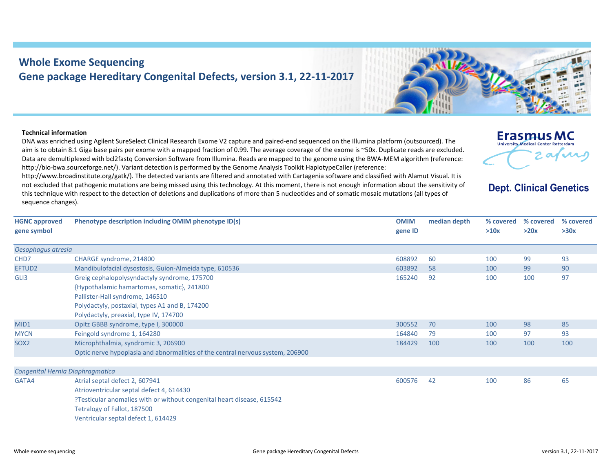## **Whole Exome Sequencing Gene package Hereditary Congenital Defects, version 3.1, 22‐11‐2017**

## **Technical information**

**HGNC approved**

DNA was enriched using Agilent SureSelect Clinical Research Exome V2 capture and paired‐end sequenced on the Illumina platform (outsourced). The aim is to obtain 8.1 Giga base pairs per exome with <sup>a</sup> mapped fraction of 0.99. The average coverage of the exome is ~50x. Duplicate reads are excluded. Data are demultiplexed with bcl2fastq Conversion Software from Illumina. Reads are mapped to the genome using the BWA‐MEM algorithm (reference: http://bio‐bwa.sourceforge.net/). Variant detection is performed by the Genome Analysis Toolkit HaplotypeCaller (reference:

http://www.broadinstitute.org/gatk/). The detected variants are filtered and annotated with Cartagenia software and classified with Alamut Visual. It is not excluded that pathogenic mutations are being missed using this technology. At this moment, there is not enough information about the sensitivity of this technique with respect to the detection of deletions and duplications of more than 5 nucleotides and of somatic mosaic mutations (all types of sequence changes).

**Phenotype description including OMIM phenotype ID(s) OMIM**

**gene symbol gene ID** *Oesophagus atresia* CHD7 CHARGE syndrome, 214800 608892 60 100 99 93 EFTUD2 Mandibulofacial dysostosis, Guion‐Almeida type, 610536 603892 58 100 99 90 GLI3 Greig cephalopolysyndactyly syndrome, 175700 {Hypothalamic hamartomas, somatic}, 241800 Pallister‐Hall syndrome, 146510 Polydactyly, postaxial, types A1 and B, 174200 Polydactyly, preaxial, type IV, 174700 165240 92 100 100 97MID1 0pitz GBBB syndrome, type I, 300000 3000 300552 70 300552 70 300552 70 300552 70 98 85 MYCN Feingold syndrome 1, 164280 164840 164840 164840 164840 164840 164840 164840 164840 164840 164840 164840 164840 164840 164840 164840 164840 164840 164840 164840 164840 164840 164840 164840 164840 164840 164840 164840

SOX2 Microphthalmia, syndromic 3, 206900 Optic nerve hypoplasia and abnormalities of the central nervous system, 206900 184429 100 100 100 100 100 *Congenital Hernia Diaphragmatica* GATA4 Atrial septal defect 2, 607941 Atrioventricular septal defect 4, 614430 ?Testicular anomalies with or without congenital heart disease, 615542 Tetralogy of Fallot, 187500 Ventricular septal defect 1, 614429 600576 42 100 86 65



**median**



## **Dept. Clinical Genetics**

**% covered >20x**

**% covered >30x**

 **depth % covered >10x**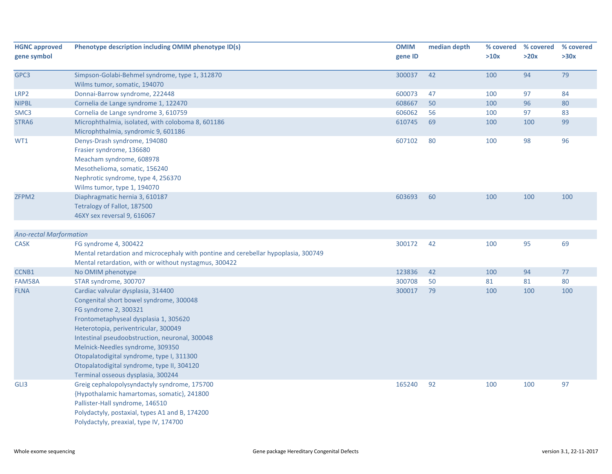| <b>HGNC approved</b><br>gene symbol | Phenotype description including OMIM phenotype ID(s)                                                                                                                                                                                                                                                                                                                                                           | <b>OMIM</b><br>gene ID | median depth | % covered<br>>10x | % covered<br>>20x | % covered<br>>30x |
|-------------------------------------|----------------------------------------------------------------------------------------------------------------------------------------------------------------------------------------------------------------------------------------------------------------------------------------------------------------------------------------------------------------------------------------------------------------|------------------------|--------------|-------------------|-------------------|-------------------|
| GPC3                                | Simpson-Golabi-Behmel syndrome, type 1, 312870<br>Wilms tumor, somatic, 194070                                                                                                                                                                                                                                                                                                                                 | 300037                 | 42           | 100               | 94                | 79                |
| LRP2                                | Donnai-Barrow syndrome, 222448                                                                                                                                                                                                                                                                                                                                                                                 | 600073                 | 47           | 100               | 97                | 84                |
| <b>NIPBL</b>                        | Cornelia de Lange syndrome 1, 122470                                                                                                                                                                                                                                                                                                                                                                           | 608667                 | 50           | 100               | 96                | 80                |
| SMC3                                | Cornelia de Lange syndrome 3, 610759                                                                                                                                                                                                                                                                                                                                                                           | 606062                 | 56           | 100               | 97                | 83                |
| STRA6                               | Microphthalmia, isolated, with coloboma 8, 601186<br>Microphthalmia, syndromic 9, 601186                                                                                                                                                                                                                                                                                                                       | 610745                 | 69           | 100               | 100               | 99                |
| WT1                                 | Denys-Drash syndrome, 194080<br>Frasier syndrome, 136680<br>Meacham syndrome, 608978<br>Mesothelioma, somatic, 156240<br>Nephrotic syndrome, type 4, 256370<br>Wilms tumor, type 1, 194070                                                                                                                                                                                                                     | 607102                 | 80           | 100               | 98                | 96                |
| ZFPM2                               | Diaphragmatic hernia 3, 610187<br>Tetralogy of Fallot, 187500<br>46XY sex reversal 9, 616067                                                                                                                                                                                                                                                                                                                   | 603693                 | 60           | 100               | 100               | 100               |
| <b>Ano-rectal Marformation</b>      |                                                                                                                                                                                                                                                                                                                                                                                                                |                        |              |                   |                   |                   |
| <b>CASK</b>                         | FG syndrome 4, 300422<br>Mental retardation and microcephaly with pontine and cerebellar hypoplasia, 300749<br>Mental retardation, with or without nystagmus, 300422                                                                                                                                                                                                                                           | 300172                 | 42           | 100               | 95                | 69                |
| CCNB1                               | No OMIM phenotype                                                                                                                                                                                                                                                                                                                                                                                              | 123836                 | 42           | 100               | 94                | 77                |
| FAM58A                              | STAR syndrome, 300707                                                                                                                                                                                                                                                                                                                                                                                          | 300708                 | 50           | 81                | 81                | 80                |
| <b>FLNA</b>                         | Cardiac valvular dysplasia, 314400<br>Congenital short bowel syndrome, 300048<br>FG syndrome 2, 300321<br>Frontometaphyseal dysplasia 1, 305620<br>Heterotopia, periventricular, 300049<br>Intestinal pseudoobstruction, neuronal, 300048<br>Melnick-Needles syndrome, 309350<br>Otopalatodigital syndrome, type I, 311300<br>Otopalatodigital syndrome, type II, 304120<br>Terminal osseous dysplasia, 300244 | 300017                 | 79           | 100               | 100               | 100               |
| GLI3                                | Greig cephalopolysyndactyly syndrome, 175700<br>{Hypothalamic hamartomas, somatic}, 241800<br>Pallister-Hall syndrome, 146510<br>Polydactyly, postaxial, types A1 and B, 174200<br>Polydactyly, preaxial, type IV, 174700                                                                                                                                                                                      | 165240                 | 92           | 100               | 100               | 97                |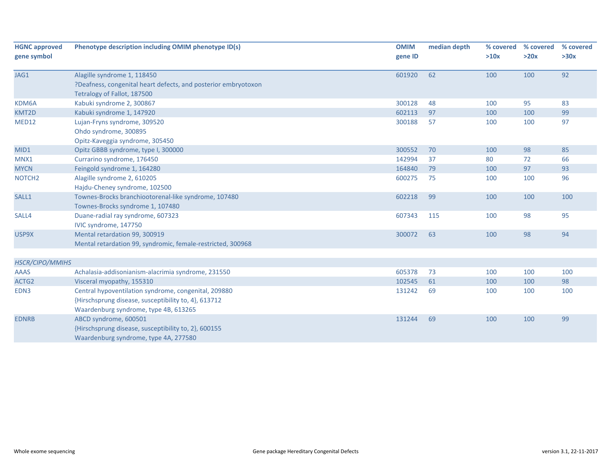| <b>HGNC approved</b> | Phenotype description including OMIM phenotype ID(s)           | <b>OMIM</b> | median depth | % covered | % covered | % covered |
|----------------------|----------------------------------------------------------------|-------------|--------------|-----------|-----------|-----------|
| gene symbol          |                                                                | gene ID     |              | >10x      | >20x      | >30x      |
| JAG1                 | Alagille syndrome 1, 118450                                    | 601920      | 62           | 100       | 100       | 92        |
|                      | ?Deafness, congenital heart defects, and posterior embryotoxon |             |              |           |           |           |
|                      | Tetralogy of Fallot, 187500                                    |             |              |           |           |           |
| KDM6A                | Kabuki syndrome 2, 300867                                      | 300128      | 48           | 100       | 95        | 83        |
| KMT2D                | Kabuki syndrome 1, 147920                                      | 602113      | 97           | 100       | 100       | 99        |
| MED12                | Lujan-Fryns syndrome, 309520                                   | 300188      | 57           | 100       | 100       | 97        |
|                      | Ohdo syndrome, 300895                                          |             |              |           |           |           |
|                      | Opitz-Kaveggia syndrome, 305450                                |             |              |           |           |           |
| MID1                 | Opitz GBBB syndrome, type I, 300000                            | 300552      | 70           | 100       | 98        | 85        |
| MNX1                 | Currarino syndrome, 176450                                     | 142994      | 37           | 80        | 72        | 66        |
| <b>MYCN</b>          | Feingold syndrome 1, 164280                                    | 164840      | 79           | 100       | 97        | 93        |
| NOTCH <sub>2</sub>   | Alagille syndrome 2, 610205                                    | 600275      | 75           | 100       | 100       | 96        |
|                      | Hajdu-Cheney syndrome, 102500                                  |             |              |           |           |           |
| SALL1                | Townes-Brocks branchiootorenal-like syndrome, 107480           | 602218      | 99           | 100       | 100       | 100       |
|                      | Townes-Brocks syndrome 1, 107480                               |             |              |           |           |           |
| SALL4                | Duane-radial ray syndrome, 607323                              | 607343      | 115          | 100       | 98        | 95        |
|                      | IVIC syndrome, 147750                                          |             |              |           |           |           |
| USP9X                | Mental retardation 99, 300919                                  | 300072      | 63           | 100       | 98        | 94        |
|                      | Mental retardation 99, syndromic, female-restricted, 300968    |             |              |           |           |           |
|                      |                                                                |             |              |           |           |           |
| HSCR/CIPO/MMIHS      |                                                                |             |              |           |           |           |
| <b>AAAS</b>          | Achalasia-addisonianism-alacrimia syndrome, 231550             | 605378      | 73           | 100       | 100       | 100       |
| ACTG2                | Visceral myopathy, 155310                                      | 102545      | 61           | 100       | 100       | 98        |
| EDN3                 | Central hypoventilation syndrome, congenital, 209880           | 131242      | 69           | 100       | 100       | 100       |
|                      | {Hirschsprung disease, susceptibility to, 4}, 613712           |             |              |           |           |           |
|                      | Waardenburg syndrome, type 4B, 613265                          |             |              |           |           |           |
| <b>EDNRB</b>         | ABCD syndrome, 600501                                          | 131244      | 69           | 100       | 100       | 99        |
|                      | {Hirschsprung disease, susceptibility to, 2}, 600155           |             |              |           |           |           |
|                      | Waardenburg syndrome, type 4A, 277580                          |             |              |           |           |           |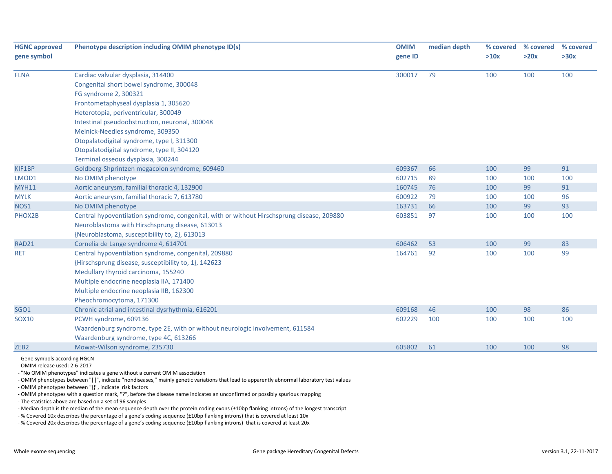| <b>HGNC approved</b> | Phenotype description including OMIM phenotype ID(s)                                       |         | median depth | % covered | % covered | % covered |
|----------------------|--------------------------------------------------------------------------------------------|---------|--------------|-----------|-----------|-----------|
| gene symbol          |                                                                                            | gene ID |              | >10x      | >20x      | >30x      |
| <b>FLNA</b>          | Cardiac valvular dysplasia, 314400                                                         | 300017  | 79           | 100       | 100       | 100       |
|                      | Congenital short bowel syndrome, 300048                                                    |         |              |           |           |           |
|                      | FG syndrome 2, 300321                                                                      |         |              |           |           |           |
|                      | Frontometaphyseal dysplasia 1, 305620                                                      |         |              |           |           |           |
|                      | Heterotopia, periventricular, 300049                                                       |         |              |           |           |           |
|                      | Intestinal pseudoobstruction, neuronal, 300048                                             |         |              |           |           |           |
|                      | Melnick-Needles syndrome, 309350                                                           |         |              |           |           |           |
|                      | Otopalatodigital syndrome, type I, 311300                                                  |         |              |           |           |           |
|                      | Otopalatodigital syndrome, type II, 304120                                                 |         |              |           |           |           |
|                      | Terminal osseous dysplasia, 300244                                                         |         |              |           |           |           |
| KIF1BP               | Goldberg-Shprintzen megacolon syndrome, 609460                                             | 609367  | 66           | 100       | 99        | 91        |
| LMOD1                | No OMIM phenotype                                                                          | 602715  | 89           | 100       | 100       | 100       |
| <b>MYH11</b>         | Aortic aneurysm, familial thoracic 4, 132900                                               | 160745  | 76           | 100       | 99        | 91        |
| <b>MYLK</b>          | Aortic aneurysm, familial thoracic 7, 613780                                               | 600922  | 79           | 100       | 100       | 96        |
| NOS1                 | No OMIM phenotype                                                                          | 163731  | 66           | 100       | 99        | 93        |
| PHOX2B               | Central hypoventilation syndrome, congenital, with or without Hirschsprung disease, 209880 | 603851  | 97           | 100       | 100       | 100       |
|                      | Neuroblastoma with Hirschsprung disease, 613013                                            |         |              |           |           |           |
|                      | {Neuroblastoma, susceptibility to, 2}, 613013                                              |         |              |           |           |           |
| RAD21                | Cornelia de Lange syndrome 4, 614701                                                       | 606462  | 53           | 100       | 99        | 83        |
| <b>RET</b>           | Central hypoventilation syndrome, congenital, 209880                                       | 164761  | 92           | 100       | 100       | 99        |
|                      | {Hirschsprung disease, susceptibility to, 1}, 142623                                       |         |              |           |           |           |
|                      | Medullary thyroid carcinoma, 155240                                                        |         |              |           |           |           |
|                      | Multiple endocrine neoplasia IIA, 171400                                                   |         |              |           |           |           |
|                      | Multiple endocrine neoplasia IIB, 162300                                                   |         |              |           |           |           |
|                      | Pheochromocytoma, 171300                                                                   |         |              |           |           |           |
| <b>SGO1</b>          | Chronic atrial and intestinal dysrhythmia, 616201                                          | 609168  | 46           | 100       | 98        | 86        |
| <b>SOX10</b>         | PCWH syndrome, 609136                                                                      | 602229  | 100          | 100       | 100       | 100       |
|                      | Waardenburg syndrome, type 2E, with or without neurologic involvement, 611584              |         |              |           |           |           |
|                      | Waardenburg syndrome, type 4C, 613266                                                      |         |              |           |           |           |
| ZEB <sub>2</sub>     | Mowat-Wilson syndrome, 235730                                                              | 605802  | 61           | 100       | 100       | 98        |

‐ OMIM release used: 2‐6‐2017

‐ "No OMIM phenotypes" indicates <sup>a</sup> gene without <sup>a</sup> current OMIM association

‐ OMIM phenotypes between "[ ]", indicate "nondiseases," mainly genetic variations that lead to apparently abnormal laboratory test values

‐ OMIM phenotypes between "{}", indicate risk factors

‐ OMIM phenotypes with <sup>a</sup> question mark, "?", before the disease name indicates an unconfirmed or possibly spurious mapping

‐ The statistics above are based on <sup>a</sup> set of 96 samples

‐ Median depth is the median of the mean sequence depth over the protein coding exons (±10bp flanking introns) of the longest transcript

‐ % Covered 10x describes the percentage of <sup>a</sup> gene's coding sequence (±10bp flanking introns) that is covered at least 10x

‐ % Covered 20x describes the percentage of <sup>a</sup> gene's coding sequence (±10bp flanking introns) that is covered at least 20x